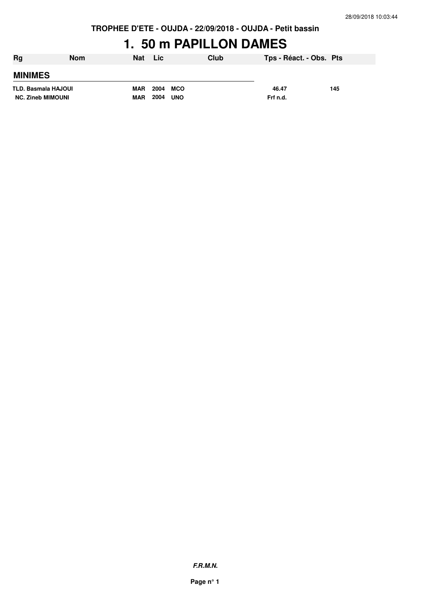**TROPHEE D'ETE - OUJDA - 22/09/2018 - OUJDA - Petit bassin**

## **1. 50 m PAPILLON DAMES**

| Rg                       | <b>Nom</b> | Nat        | Lic                | Club | Tps - Réact. - Obs. Pts |     |
|--------------------------|------------|------------|--------------------|------|-------------------------|-----|
| <b>MINIMES</b>           |            |            |                    |      |                         |     |
| TLD. Basmala HAJOUI      |            | MAR        | 2004 MCO           |      | 46.47                   | 145 |
| <b>NC. Zineb MIMOUNI</b> |            | <b>MAR</b> | 2004<br><b>UNO</b> |      | Frf n.d.                |     |

**F.R.M.N.**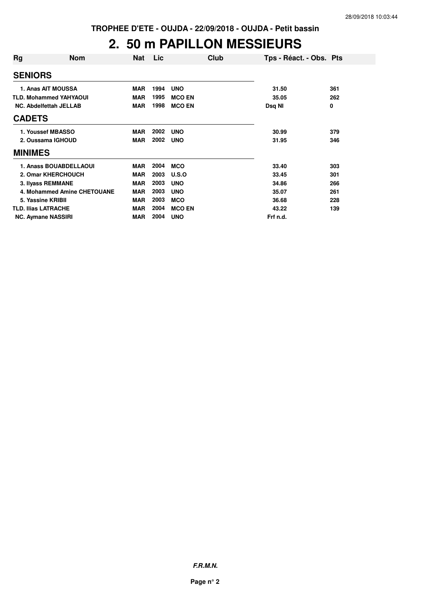#### **2. 50 m PAPILLON MESSIEURS**

| Rg                            | <b>Nom</b>                    | <b>Nat</b> | Lic  | Club          | Tps - Réact. - Obs. Pts |     |
|-------------------------------|-------------------------------|------------|------|---------------|-------------------------|-----|
| <b>SENIORS</b>                |                               |            |      |               |                         |     |
|                               | 1. Anas AIT MOUSSA            | <b>MAR</b> | 1994 | <b>UNO</b>    | 31.50                   | 361 |
|                               | <b>TLD. Mohammed YAHYAOUI</b> | <b>MAR</b> | 1995 | <b>MCO EN</b> | 35.05                   | 262 |
| <b>NC. Abdelfettah JELLAB</b> |                               | <b>MAR</b> | 1998 | <b>MCO EN</b> | Dsq NI                  | 0   |
| <b>CADETS</b>                 |                               |            |      |               |                         |     |
|                               | 1. Youssef MBASSO             | <b>MAR</b> | 2002 | <b>UNO</b>    | 30.99                   | 379 |
| 2. Oussama IGHOUD             |                               | <b>MAR</b> | 2002 | <b>UNO</b>    | 31.95                   | 346 |
| <b>MINIMES</b>                |                               |            |      |               |                         |     |
|                               | 1. Anass BOUABDELLAOUI        | <b>MAR</b> | 2004 | <b>MCO</b>    | 33.40                   | 303 |
|                               | 2. Omar KHERCHOUCH            | <b>MAR</b> | 2003 | U.S.O         | 33.45                   | 301 |
|                               | 3. Ilyass REMMANE             | <b>MAR</b> | 2003 | <b>UNO</b>    | 34.86                   | 266 |
|                               | 4. Mohammed Amine CHETOUANE   | <b>MAR</b> | 2003 | <b>UNO</b>    | 35.07                   | 261 |
| 5. Yassine KRIBII             |                               | <b>MAR</b> | 2003 | <b>MCO</b>    | 36.68                   | 228 |
| <b>TLD. Ilias LATRACHE</b>    |                               | <b>MAR</b> | 2004 | <b>MCO EN</b> | 43.22                   | 139 |
| <b>NC. Aymane NASSIRI</b>     |                               | <b>MAR</b> | 2004 | <b>UNO</b>    | Frf n.d.                |     |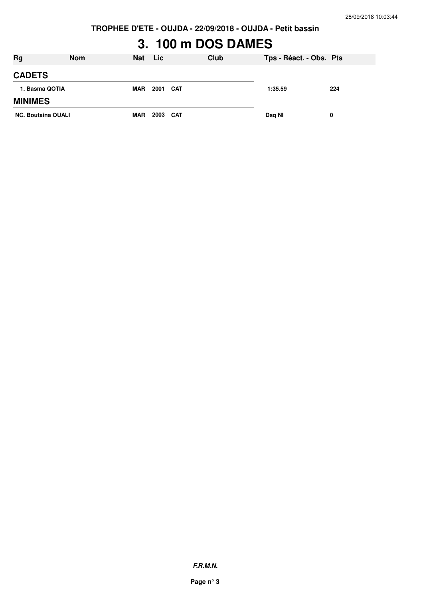# **3. 100 m DOS DAMES**

| <b>Rg</b>                 | <b>Nom</b> | <b>Nat</b> | <b>Lic</b> | Club | Tps - Réact. - Obs. Pts |     |
|---------------------------|------------|------------|------------|------|-------------------------|-----|
| <b>CADETS</b>             |            |            |            |      |                         |     |
| 1. Basma QOTIA            |            | <b>MAR</b> | 2001 CAT   |      | 1:35.59                 | 224 |
| <b>MINIMES</b>            |            |            |            |      |                         |     |
| <b>NC. Boutaina OUALI</b> |            | <b>MAR</b> | 2003 CAT   |      | Dsq NI                  | 0   |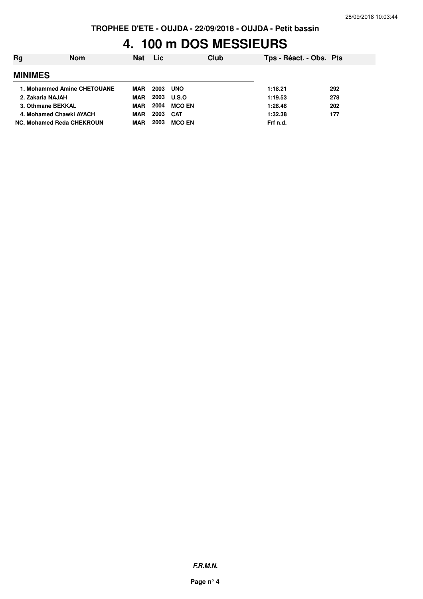#### **TROPHEE D'ETE - OUJDA - 22/09/2018 - OUJDA - Petit bassin**

## **4. 100 m DOS MESSIEURS**

| <b>Rg</b>                 | <b>Nom</b>                  | <b>Nat</b> | <b>Lic</b> | Club          | Tps - Réact. - Obs. Pts |     |
|---------------------------|-----------------------------|------------|------------|---------------|-------------------------|-----|
| <b>MINIMES</b>            |                             |            |            |               |                         |     |
|                           | 1. Mohammed Amine CHETOUANE | MAR        | 2003       | <b>UNO</b>    | 1:18.21                 | 292 |
| 2. Zakaria NAJAH          |                             | MAR        | 2003       | <b>U.S.O</b>  | 1:19.53                 | 278 |
| 3. Othmane BEKKAL         |                             | <b>MAR</b> | 2004       | <b>MCO EN</b> | 1:28.48                 | 202 |
| 4. Mohamed Chawki AYACH   |                             | MAR        | 2003       | <b>CAT</b>    | 1:32.38                 | 177 |
| NC. Mohamed Reda CHEKROUN |                             | MAR        | 2003       | <b>MCO EN</b> | Frf n.d.                |     |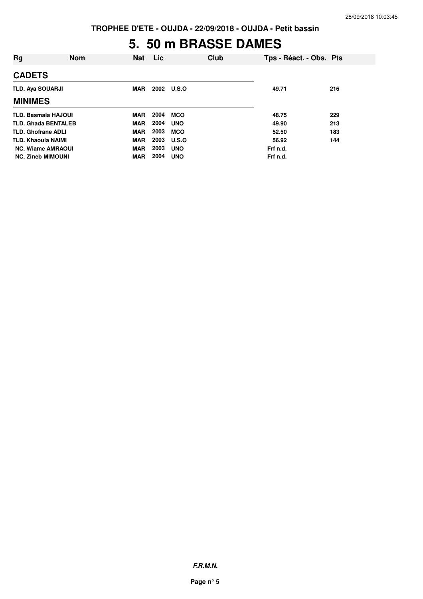## **5. 50 m BRASSE DAMES**

| Rg                         | <b>Nom</b> | <b>Nat</b> | Lic  |              | Club |          | Tps - Réact. - Obs. Pts |
|----------------------------|------------|------------|------|--------------|------|----------|-------------------------|
| <b>CADETS</b>              |            |            |      |              |      |          |                         |
| <b>TLD. Ava SOUARJI</b>    |            | <b>MAR</b> |      | 2002 U.S.O   |      | 49.71    | 216                     |
| <b>MINIMES</b>             |            |            |      |              |      |          |                         |
| <b>TLD. Basmala HAJOUI</b> |            | <b>MAR</b> | 2004 | <b>MCO</b>   |      | 48.75    | 229                     |
| <b>TLD. Ghada BENTALEB</b> |            | <b>MAR</b> | 2004 | <b>UNO</b>   |      | 49.90    | 213                     |
| <b>TLD. Ghofrane ADLI</b>  |            | <b>MAR</b> | 2003 | <b>MCO</b>   |      | 52.50    | 183                     |
| <b>TLD. Khaoula NAIMI</b>  |            | <b>MAR</b> | 2003 | <b>U.S.O</b> |      | 56.92    | 144                     |
| <b>NC. Wiame AMRAOUI</b>   |            | <b>MAR</b> | 2003 | <b>UNO</b>   |      | Frf n.d. |                         |
| <b>NC. Zineb MIMOUNI</b>   |            | MAR        | 2004 | <b>UNO</b>   |      | Frf n.d. |                         |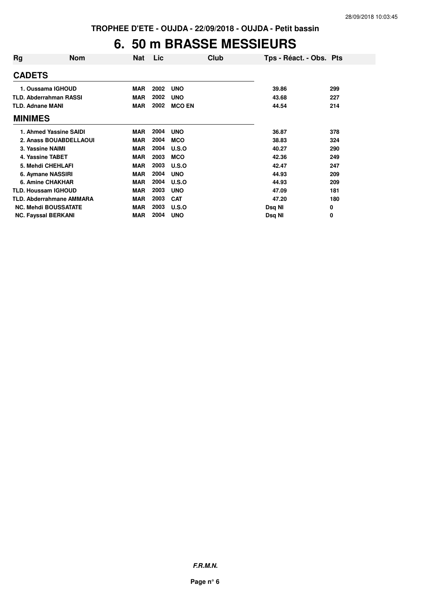#### **6. 50 m BRASSE MESSIEURS**

| Rg                         | Nom                           | Nat        | <b>Lic</b> | Club          | Tps - Réact. - Obs. Pts |     |
|----------------------------|-------------------------------|------------|------------|---------------|-------------------------|-----|
| <b>CADETS</b>              |                               |            |            |               |                         |     |
|                            | 1. Oussama IGHOUD             | <b>MAR</b> | 2002       | <b>UNO</b>    | 39.86                   | 299 |
|                            | <b>TLD. Abderrahman RASSI</b> | <b>MAR</b> | 2002       | <b>UNO</b>    | 43.68                   | 227 |
| <b>TLD. Adnane MANI</b>    |                               | <b>MAR</b> | 2002       | <b>MCO EN</b> | 44.54                   | 214 |
| <b>MINIMES</b>             |                               |            |            |               |                         |     |
|                            | 1. Ahmed Yassine SAIDI        | <b>MAR</b> | 2004       | <b>UNO</b>    | 36.87                   | 378 |
|                            | 2. Anass BOUABDELLAOUI        | <b>MAR</b> | 2004       | <b>MCO</b>    | 38.83                   | 324 |
| 3. Yassine NAIMI           |                               | <b>MAR</b> | 2004       | U.S.O         | 40.27                   | 290 |
| 4. Yassine TABET           |                               | <b>MAR</b> | 2003       | <b>MCO</b>    | 42.36                   | 249 |
|                            | 5. Mehdi CHEHLAFI             | <b>MAR</b> | 2003       | U.S.O         | 42.47                   | 247 |
|                            | 6. Aymane NASSIRI             | <b>MAR</b> | 2004       | <b>UNO</b>    | 44.93                   | 209 |
|                            | 6. Amine CHAKHAR              | <b>MAR</b> | 2004       | U.S.O         | 44.93                   | 209 |
| <b>TLD. Houssam IGHOUD</b> |                               | <b>MAR</b> | 2003       | <b>UNO</b>    | 47.09                   | 181 |
|                            | TLD. Abderrahmane AMMARA      | <b>MAR</b> | 2003       | <b>CAT</b>    | 47.20                   | 180 |
|                            | <b>NC. Mehdi BOUSSATATE</b>   | <b>MAR</b> | 2003       | U.S.O         | Dsq NI                  | 0   |
| <b>NC. Fayssal BERKANI</b> |                               | <b>MAR</b> | 2004       | <b>UNO</b>    | Dsg NI                  | 0   |

**F.R.M.N.**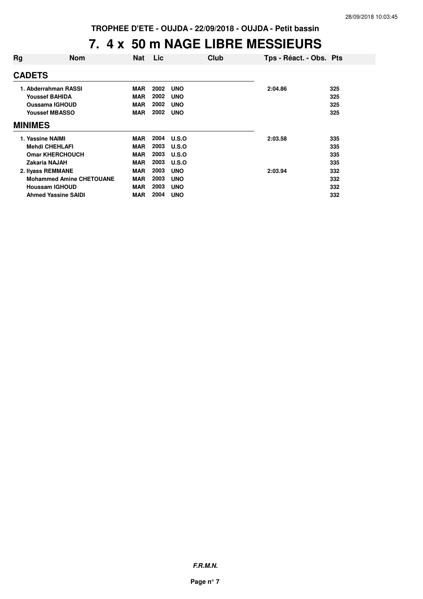#### **7. 4 x 50 m NAGE LIBRE MESSIEURS**

| Rg                | <b>Nom</b>                      | <b>Nat</b> | <b>Lic</b> | Club       | Tps - Réact. - Obs. Pts |     |
|-------------------|---------------------------------|------------|------------|------------|-------------------------|-----|
| <b>CADETS</b>     |                                 |            |            |            |                         |     |
|                   | 1. Abderrahman RASSI            | <b>MAR</b> | 2002       | <b>UNO</b> | 2:04.86                 | 325 |
|                   | <b>Youssef BAHIDA</b>           | <b>MAR</b> | 2002       | <b>UNO</b> |                         | 325 |
|                   | <b>Oussama IGHOUD</b>           | <b>MAR</b> | 2002       | <b>UNO</b> |                         | 325 |
|                   | <b>Youssef MBASSO</b>           | <b>MAR</b> | 2002       | <b>UNO</b> |                         | 325 |
| <b>MINIMES</b>    |                                 |            |            |            |                         |     |
| 1. Yassine NAIMI  |                                 | <b>MAR</b> | 2004       | U.S.O      | 2:03.58                 | 335 |
|                   | <b>Mehdi CHEHLAFI</b>           | <b>MAR</b> | 2003       | U.S.O      |                         | 335 |
|                   | <b>Omar KHERCHOUCH</b>          | <b>MAR</b> | 2003       | U.S.O      |                         | 335 |
| Zakaria NAJAH     |                                 | <b>MAR</b> | 2003       | U.S.O      |                         | 335 |
| 2. Ilyass REMMANE |                                 | <b>MAR</b> | 2003       | <b>UNO</b> | 2:03.94                 | 332 |
|                   | <b>Mohammed Amine CHETOUANE</b> | <b>MAR</b> | 2003       | <b>UNO</b> |                         | 332 |
|                   | <b>Houssam IGHOUD</b>           | <b>MAR</b> | 2003       | <b>UNO</b> |                         | 332 |
|                   | <b>Ahmed Yassine SAIDI</b>      | MAR        | 2004       | <b>UNO</b> |                         | 332 |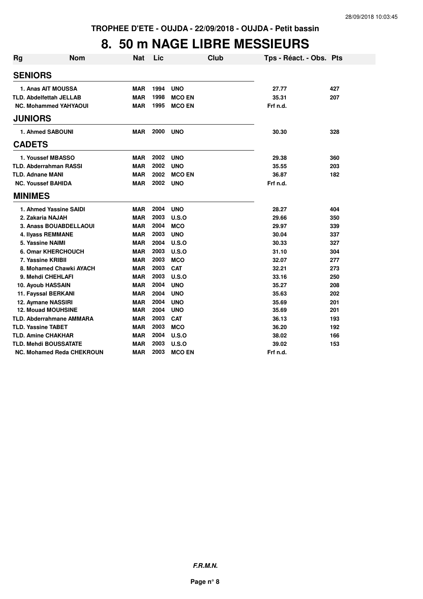## **8. 50 m NAGE LIBRE MESSIEURS**

| <b>Rg</b> | <b>Nom</b>                       | <b>Nat</b> | Lic  | <b>Club</b>   | Tps - Réact. - Obs. Pts |     |
|-----------|----------------------------------|------------|------|---------------|-------------------------|-----|
|           | <b>SENIORS</b>                   |            |      |               |                         |     |
|           | 1. Anas AIT MOUSSA               | <b>MAR</b> | 1994 | <b>UNO</b>    | 27.77                   | 427 |
|           | <b>TLD. Abdelfettah JELLAB</b>   | <b>MAR</b> | 1998 | <b>MCO EN</b> | 35.31                   | 207 |
|           | <b>NC. Mohammed YAHYAOUI</b>     | <b>MAR</b> | 1995 | <b>MCO EN</b> | Frf n.d.                |     |
|           | <b>JUNIORS</b>                   |            |      |               |                         |     |
|           | 1. Ahmed SABOUNI                 | <b>MAR</b> | 2000 | <b>UNO</b>    | 30.30                   | 328 |
|           | <b>CADETS</b>                    |            |      |               |                         |     |
|           | 1. Youssef MBASSO                | <b>MAR</b> | 2002 | <b>UNO</b>    | 29.38                   | 360 |
|           | <b>TLD. Abderrahman RASSI</b>    | <b>MAR</b> | 2002 | <b>UNO</b>    | 35.55                   | 203 |
|           | <b>TLD. Adnane MANI</b>          | <b>MAR</b> | 2002 | <b>MCO EN</b> | 36.87                   | 182 |
|           | <b>NC. Youssef BAHIDA</b>        | <b>MAR</b> | 2002 | <b>UNO</b>    | Frf n.d.                |     |
|           | <b>MINIMES</b>                   |            |      |               |                         |     |
|           | 1. Ahmed Yassine SAIDI           | <b>MAR</b> | 2004 | <b>UNO</b>    | 28.27                   | 404 |
|           | 2. Zakaria NAJAH                 | <b>MAR</b> | 2003 | U.S.O         | 29.66                   | 350 |
|           | 3. Anass BOUABDELLAOUI           | <b>MAR</b> | 2004 | <b>MCO</b>    | 29.97                   | 339 |
|           | <b>4. Ilvass REMMANE</b>         | <b>MAR</b> | 2003 | <b>UNO</b>    | 30.04                   | 337 |
|           | 5. Yassine NAIMI                 | <b>MAR</b> | 2004 | U.S.O         | 30.33                   | 327 |
|           | 6. Omar KHERCHOUCH               | <b>MAR</b> | 2003 | U.S.O         | 31.10                   | 304 |
|           | 7. Yassine KRIBII                | <b>MAR</b> | 2003 | <b>MCO</b>    | 32.07                   | 277 |
|           | 8. Mohamed Chawki AYACH          | <b>MAR</b> | 2003 | <b>CAT</b>    | 32.21                   | 273 |
|           | 9. Mehdi CHEHLAFI                | <b>MAR</b> | 2003 | U.S.O         | 33.16                   | 250 |
|           | 10. Ayoub HASSAIN                | <b>MAR</b> | 2004 | <b>UNO</b>    | 35.27                   | 208 |
|           | 11. Fayssal BERKANI              | <b>MAR</b> | 2004 | <b>UNO</b>    | 35.63                   | 202 |
|           | 12. Aymane NASSIRI               | <b>MAR</b> | 2004 | <b>UNO</b>    | 35.69                   | 201 |
|           | <b>12. Mouad MOUHSINE</b>        | <b>MAR</b> | 2004 | <b>UNO</b>    | 35.69                   | 201 |
|           | <b>TLD. Abderrahmane AMMARA</b>  | <b>MAR</b> | 2003 | <b>CAT</b>    | 36.13                   | 193 |
|           | <b>TLD. Yassine TABET</b>        | <b>MAR</b> | 2003 | <b>MCO</b>    | 36.20                   | 192 |
|           | <b>TLD. Amine CHAKHAR</b>        | <b>MAR</b> | 2004 | U.S.O         | 38.02                   | 166 |
|           | <b>TLD. Mehdi BOUSSATATE</b>     | <b>MAR</b> | 2003 | U.S.O         | 39.02                   | 153 |
|           | <b>NC. Mohamed Reda CHEKROUN</b> | <b>MAR</b> | 2003 | <b>MCO EN</b> | Frf n.d.                |     |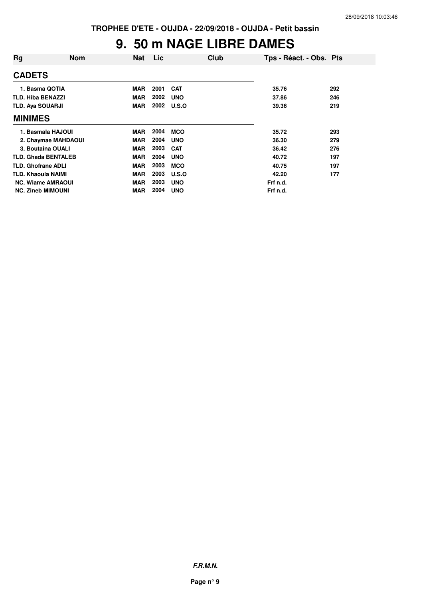## **9. 50 m NAGE LIBRE DAMES**

| Rg                         | <b>Nom</b> | <b>Nat</b> | Lic  | Club       | Tps - Réact. - Obs. Pts |     |
|----------------------------|------------|------------|------|------------|-------------------------|-----|
| <b>CADETS</b>              |            |            |      |            |                         |     |
| 1. Basma QOTIA             |            | <b>MAR</b> | 2001 | <b>CAT</b> | 35.76                   | 292 |
| <b>TLD. Hiba BENAZZI</b>   |            | <b>MAR</b> | 2002 | <b>UNO</b> | 37.86                   | 246 |
| TLD. Aya SOUARJI           |            | <b>MAR</b> | 2002 | U.S.O      | 39.36                   | 219 |
| <b>MINIMES</b>             |            |            |      |            |                         |     |
| 1. Basmala HAJOUI          |            | MAR        | 2004 | <b>MCO</b> | 35.72                   | 293 |
| 2. Chaymae MAHDAOUI        |            | <b>MAR</b> | 2004 | <b>UNO</b> | 36.30                   | 279 |
| 3. Boutaina OUALI          |            | <b>MAR</b> | 2003 | <b>CAT</b> | 36.42                   | 276 |
| <b>TLD. Ghada BENTALEB</b> |            | <b>MAR</b> | 2004 | <b>UNO</b> | 40.72                   | 197 |
| <b>TLD. Ghofrane ADLI</b>  |            | <b>MAR</b> | 2003 | <b>MCO</b> | 40.75                   | 197 |
| <b>TLD. Khaoula NAIMI</b>  |            | <b>MAR</b> | 2003 | U.S.O      | 42.20                   | 177 |
| <b>NC. Wiame AMRAOUI</b>   |            | <b>MAR</b> | 2003 | <b>UNO</b> | Frf n.d.                |     |
| <b>NC. Zineb MIMOUNI</b>   |            | MAR        | 2004 | <b>UNO</b> | Frf n.d.                |     |

**F.R.M.N.**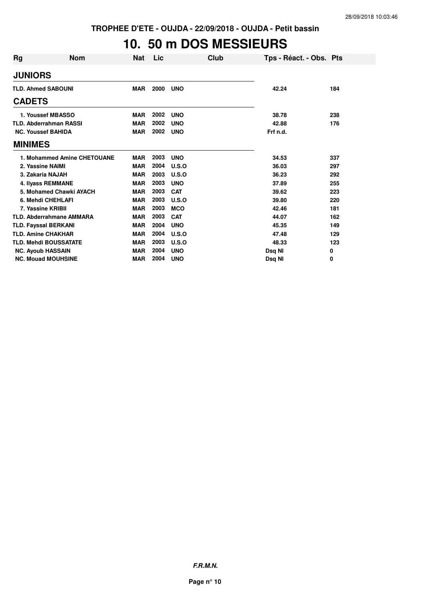#### **10. 50 m DOS MESSIEURS**

| Rg             | <b>Nom</b>                      | <b>Nat</b> | Lic  | Club       | Tps - Réact. - Obs. Pts |     |
|----------------|---------------------------------|------------|------|------------|-------------------------|-----|
| <b>JUNIORS</b> |                                 |            |      |            |                         |     |
|                | <b>TLD. Ahmed SABOUNI</b>       | <b>MAR</b> | 2000 | <b>UNO</b> | 42.24                   | 184 |
| <b>CADETS</b>  |                                 |            |      |            |                         |     |
|                | 1. Youssef MBASSO               | <b>MAR</b> | 2002 | <b>UNO</b> | 38.78                   | 238 |
|                | <b>TLD. Abderrahman RASSI</b>   | <b>MAR</b> | 2002 | <b>UNO</b> | 42.88                   | 176 |
|                | <b>NC. Youssef BAHIDA</b>       | <b>MAR</b> | 2002 | <b>UNO</b> | Frf n.d.                |     |
| <b>MINIMES</b> |                                 |            |      |            |                         |     |
|                | 1. Mohammed Amine CHETOUANE     | <b>MAR</b> | 2003 | <b>UNO</b> | 34.53                   | 337 |
|                | 2. Yassine NAIMI                | <b>MAR</b> | 2004 | U.S.O      | 36.03                   | 297 |
|                | 3. Zakaria NAJAH                | <b>MAR</b> | 2003 | U.S.O      | 36.23                   | 292 |
|                | 4. Ilyass REMMANE               | <b>MAR</b> | 2003 | <b>UNO</b> | 37.89                   | 255 |
|                | 5. Mohamed Chawki AYACH         | <b>MAR</b> | 2003 | <b>CAT</b> | 39.62                   | 223 |
|                | 6. Mehdi CHEHLAFI               | <b>MAR</b> | 2003 | U.S.O      | 39.80                   | 220 |
|                | 7. Yassine KRIBII               | <b>MAR</b> | 2003 | <b>MCO</b> | 42.46                   | 181 |
|                | <b>TLD. Abderrahmane AMMARA</b> | <b>MAR</b> | 2003 | <b>CAT</b> | 44.07                   | 162 |
|                | <b>TLD. Fayssal BERKANI</b>     | <b>MAR</b> | 2004 | <b>UNO</b> | 45.35                   | 149 |
|                | <b>TLD. Amine CHAKHAR</b>       | <b>MAR</b> | 2004 | U.S.O      | 47.48                   | 129 |
|                | <b>TLD. Mehdi BOUSSATATE</b>    | <b>MAR</b> | 2003 | U.S.O      | 48.33                   | 123 |
|                | <b>NC. Ayoub HASSAIN</b>        | <b>MAR</b> | 2004 | <b>UNO</b> | Dsq NI                  | 0   |
|                | <b>NC. Mouad MOUHSINE</b>       | <b>MAR</b> | 2004 | <b>UNO</b> | Dsg NI                  | 0   |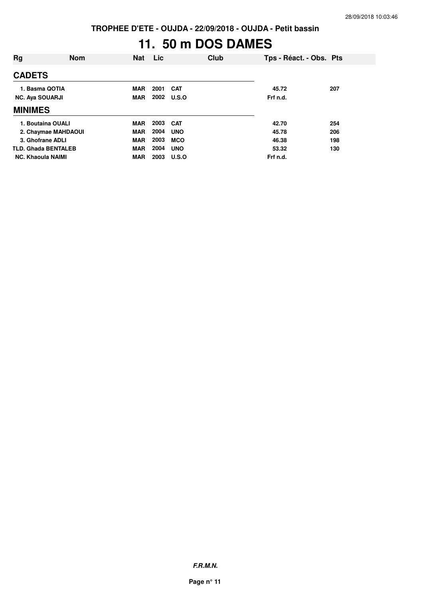# **11. 50 m DOS DAMES**

| Rg                         | <b>Nom</b> | <b>Nat</b> | Lic  | Club         | Tps - Réact. - Obs. Pts |     |
|----------------------------|------------|------------|------|--------------|-------------------------|-----|
| <b>CADETS</b>              |            |            |      |              |                         |     |
| 1. Basma QOTIA             |            | <b>MAR</b> | 2001 | <b>CAT</b>   | 45.72                   | 207 |
| <b>NC. Aya SOUARJI</b>     |            | <b>MAR</b> | 2002 | <b>U.S.O</b> | Frf n.d.                |     |
| <b>MINIMES</b>             |            |            |      |              |                         |     |
| 1. Boutaina OUALI          |            | <b>MAR</b> | 2003 | <b>CAT</b>   | 42.70                   | 254 |
| 2. Chaymae MAHDAOUI        |            | <b>MAR</b> | 2004 | <b>UNO</b>   | 45.78                   | 206 |
| 3. Ghofrane ADLI           |            | <b>MAR</b> | 2003 | <b>MCO</b>   | 46.38                   | 198 |
| <b>TLD. Ghada BENTALEB</b> |            | <b>MAR</b> | 2004 | <b>UNO</b>   | 53.32                   | 130 |
| <b>NC. Khaoula NAIMI</b>   |            | <b>MAR</b> | 2003 | U.S.O        | Frf n.d.                |     |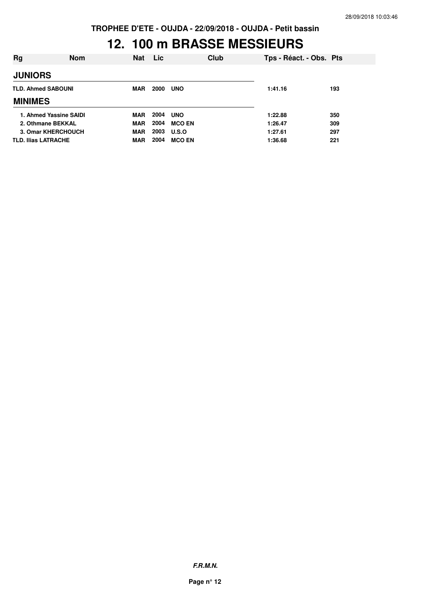#### **12. 100 m BRASSE MESSIEURS**

| Rg                         | <b>Nom</b> | <b>Nat</b> | <b>Lic</b> | Club          | Tps - Réact. - Obs. Pts |     |
|----------------------------|------------|------------|------------|---------------|-------------------------|-----|
| <b>JUNIORS</b>             |            |            |            |               |                         |     |
| <b>TLD. Ahmed SABOUNI</b>  |            | MAR        | 2000       | <b>UNO</b>    | 1:41.16                 | 193 |
| <b>MINIMES</b>             |            |            |            |               |                         |     |
| 1. Ahmed Yassine SAIDI     |            | <b>MAR</b> | 2004       | <b>UNO</b>    | 1:22.88                 | 350 |
| 2. Othmane BEKKAL          |            | <b>MAR</b> | 2004       | <b>MCO EN</b> | 1:26.47                 | 309 |
| 3. Omar KHERCHOUCH         |            | <b>MAR</b> | 2003       | <b>U.S.O</b>  | 1:27.61                 | 297 |
| <b>TLD. Ilias LATRACHE</b> |            | MAR        | 2004       | <b>MCO EN</b> | 1:36.68                 | 221 |

**F.R.M.N.**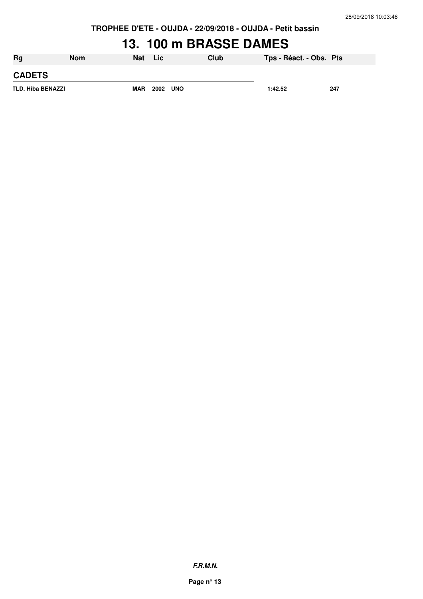## **13. 100 m BRASSE DAMES**

| <b>Rg</b>                | Nom | <b>Nat</b> | Lic             | Club | Tps - Réact. - Obs. Pts |     |
|--------------------------|-----|------------|-----------------|------|-------------------------|-----|
| <b>CADETS</b>            |     |            |                 |      |                         |     |
| <b>TLD. Hiba BENAZZI</b> |     | <b>MAR</b> | <b>2002 UNO</b> |      | 1:42.52                 | 247 |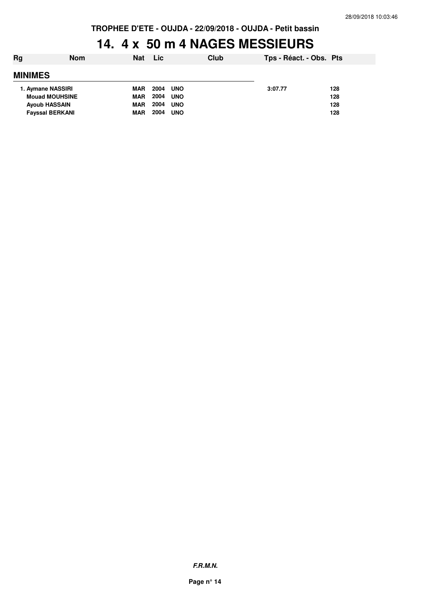#### **14. 4 x 50 m 4 NAGES MESSIEURS**

| Rg                     | <b>Nom</b>            | <b>Nat</b> | Lic                | Club | Tps - Réact. - Obs. Pts |     |  |
|------------------------|-----------------------|------------|--------------------|------|-------------------------|-----|--|
| <b>MINIMES</b>         |                       |            |                    |      |                         |     |  |
| 1. Aymane NASSIRI      |                       | <b>MAR</b> | 2004<br><b>UNO</b> |      | 3:07.77                 | 128 |  |
|                        | <b>Mouad MOUHSINE</b> | <b>MAR</b> | 2004<br><b>UNO</b> |      |                         | 128 |  |
|                        | <b>Ayoub HASSAIN</b>  | <b>MAR</b> | 2004<br><b>UNO</b> |      |                         | 128 |  |
| <b>Fayssal BERKANI</b> |                       | <b>MAR</b> | 2004<br><b>UNO</b> |      |                         | 128 |  |
|                        |                       |            |                    |      |                         |     |  |